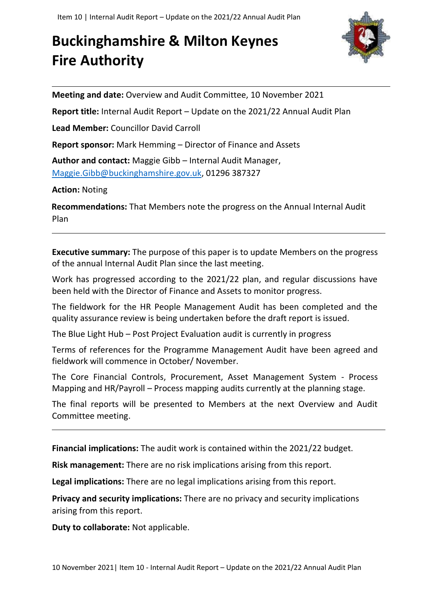## **Buckinghamshire & Milton Keynes Fire Authority**



**Meeting and date:** Overview and Audit Committee, 10 November 2021

**Report title:** Internal Audit Report – Update on the 2021/22 Annual Audit Plan

**Lead Member:** Councillor David Carroll

**Report sponsor:** Mark Hemming – Director of Finance and Assets

**Author and contact:** Maggie Gibb – Internal Audit Manager, [Maggie.Gibb@buckinghamshire.gov.uk,](mailto:Maggie.Gibb@buckinghamshire.gov.uk) 01296 387327

**Action:** Noting

**Recommendations:** That Members note the progress on the Annual Internal Audit Plan

**Executive summary:** The purpose of this paper is to update Members on the progress of the annual Internal Audit Plan since the last meeting.

Work has progressed according to the 2021/22 plan, and regular discussions have been held with the Director of Finance and Assets to monitor progress.

The fieldwork for the HR People Management Audit has been completed and the quality assurance review is being undertaken before the draft report is issued.

The Blue Light Hub – Post Project Evaluation audit is currently in progress

Terms of references for the Programme Management Audit have been agreed and fieldwork will commence in October/ November.

The Core Financial Controls, Procurement, Asset Management System - Process Mapping and HR/Payroll – Process mapping audits currently at the planning stage.

The final reports will be presented to Members at the next Overview and Audit Committee meeting.

**Financial implications:** The audit work is contained within the 2021/22 budget.

**Risk management:** There are no risk implications arising from this report.

**Legal implications:** There are no legal implications arising from this report.

**Privacy and security implications:** There are no privacy and security implications arising from this report.

**Duty to collaborate:** Not applicable.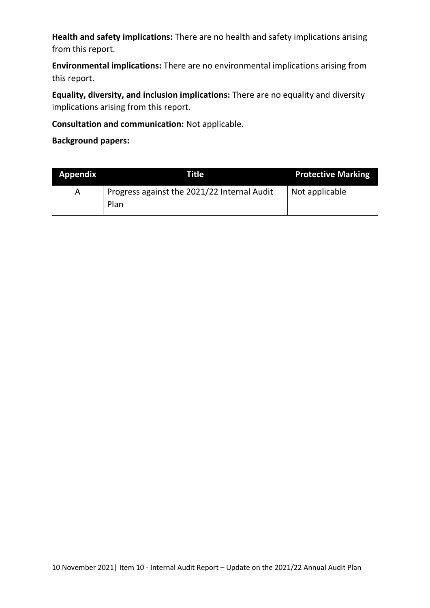**Health and safety implications:** There are no health and safety implications arising from this report.

**Environmental implications:** There are no environmental implications arising from this report.

**Equality, diversity, and inclusion implications:** There are no equality and diversity implications arising from this report.

**Consultation and communication:** Not applicable.

**Background papers:**

| <b>Appendix</b> | Title                                               | <b>Protective Marking</b> |
|-----------------|-----------------------------------------------------|---------------------------|
| A               | Progress against the 2021/22 Internal Audit<br>Plan | Not applicable            |